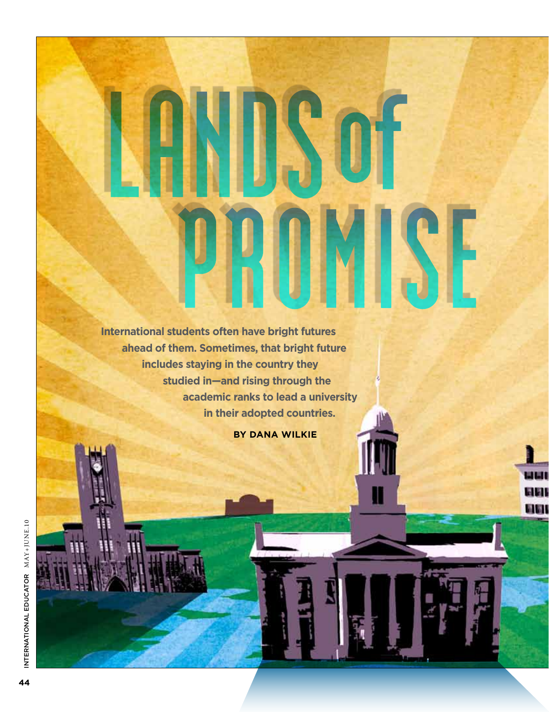**International students often have bright futures ahead of them. Sometimes, that bright future includes staying in the country they studied in—and rising through the academic ranks to lead a university in their adopted countries.** 

**By Dana Wilkie**

H

التاليا am

**GIGH**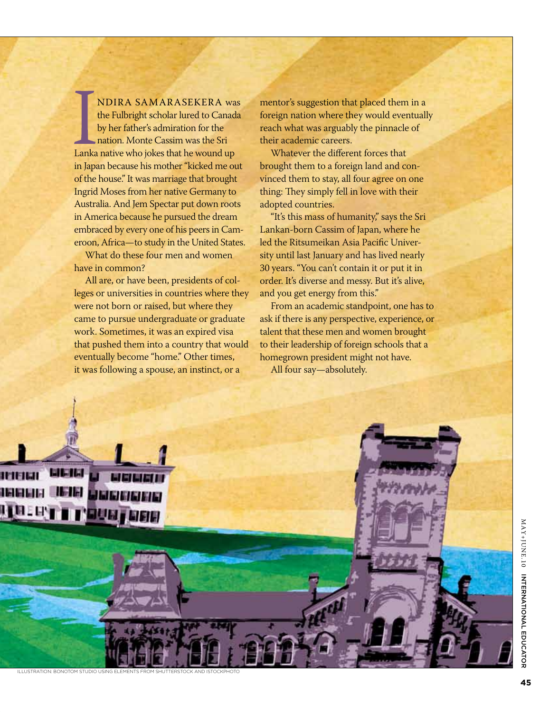ndira Samarasekera was the Fulbright scholar lured to Canada by her father's admiration for the nation. Monte Cassim was the Sri Lanka native who jokes that he wound up in Japan because his mother "kicked me out of the house." It was marriage that brought Ingrid Moses from her native Germany to Australia. And Jem Spectar put down roots in America because he pursued the dream embraced by every one of his peers in Cameroon, Africa—to study in the United States.

What do these four men and women have in common?

All are, or have been, presidents of colleges or universities in countries where they were not born or raised, but where they came to pursue undergraduate or graduate work. Sometimes, it was an expired visa that pushed them into a country that would eventually become "home." Other times, it was following a spouse, an instinct, or a

mentor's suggestion that placed them in a foreign nation where they would eventually reach what was arguably the pinnacle of their academic careers.

Whatever the different forces that brought them to a foreign land and convinced them to stay, all four agree on one thing: They simply fell in love with their adopted countries.

"It's this mass of humanity," says the Sri Lankan-born Cassim of Japan, where he led the Ritsumeikan Asia Pacific University until last January and has lived nearly 30 years. "You can't contain it or put it in order. It's diverse and messy. But it's alive, and you get energy from this."

From an academic standpoint, one has to ask if there is any perspective, experience, or talent that these men and women brought to their leadership of foreign schools that a homegrown president might not have. All four say—absolutely.

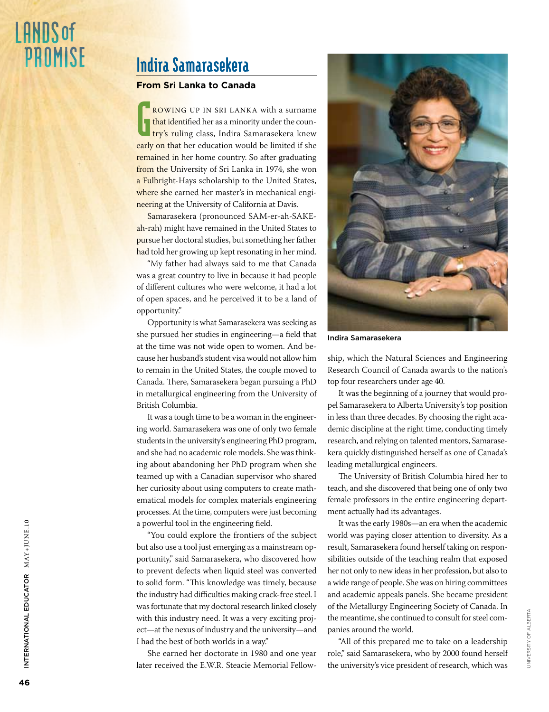#### Indira Samarasekera

#### **From Sri Lanka to Canada**

 $\overline{\mathbf{G}}$ <mark>ROWING</mark> UP IN SRI LANKA with a surname <mark>that iden</mark>tified her as a minority under the country's ruling class, Indira Samarasekera knew early on that her education would be limited if she remained in her home country. So after graduating from the University of Sri Lanka in 1974, she won a Fulbright-Hays scholarship to the United States, <mark>where she</mark> earned her master's in mechanical engineering at the University of California at Davis.

Samarasekera (pronounced SAM-er-ah-SAKEah-rah) might have remained in the United States to pursue her doctoral studies, but something her father had told her growing up kept resonating in her mind.

"My father had always said to me that Canada was a great country to live in because it had people of different cultures who were welcome, it had a lot of open spaces, and he perceived it to be a land of opportunity."

Opportunity is what Samarasekera was seeking as she pursued her studies in engineering—a field that at the time was not wide open to women. And be cause her husband's student visa would not allow him to remain in the United States, the couple moved to Canada. There, Samarasekera began pursuing a PhD in metallurgical engineering from the University of British Columbia.

It was a tough time to be a woman in the engineer ing world. Samarasekera was one of only two female students in the university's engineering PhD program, and she had no academic role models. She was think ing about abandoning her PhD program when she teamed up with a Canadian supervisor who shared her curiosity about using computers to create math ematical models for complex materials engineering processes. At the time, computers were just becoming a powerful tool in the engineering field.

"You could explore the frontiers of the subject but also use a tool just emerging as a mainstream op portunity," said Samarasekera, who discovered how to prevent defects when liquid steel was converted to solid form. "This knowledge was timely, because the industry had difficulties making crack-free steel. I was fortunate that my doctoral research linked closely with this industry need. It was a very exciting proj ect—at the nexus of industry and the university—and I had the best of both worlds in a way."

She earned her doctorate in 1980 and one year later received the E.W.R. Steacie Memorial Fellow -



ship, which the Natural Sciences and Engineering Research Council of Canada awards to the nation's top four researchers under age 40.

It was the beginning of a journey that would pro pel Samarasekera to Alberta University's top position in less than three decades. By choosing the right aca demic discipline at the right time, conducting timely research, and relying on talented mentors, Samarase kera quickly distinguished herself as one of Canada's leading metallurgical engineers.

The University of British Columbia hired her to teach, and she discovered that being one of only two female professors in the entire engineering depart ment actually had its advantages.

It was the early 1980s—an era when the academic world was paying closer attention to diversity. As a result, Samarasekera found herself taking on respon sibilities outside of the teaching realm that exposed her not only to new ideas in her profession, but also to a wide range of people. She was on hiring committees and academic appeals panels. She became president of the Metallurgy Engineering Society of Canada. In the meantime, she continued to consult for steel com panies around the world. Indira Samarasekera<br>
ship, which the Natural Sciences and Engineering<br>
Research Council of Canada awards to the nation's<br>
top four researchers under age 40.<br>
It was the beginning of a journey that would pro-<br>
pel Samarasek

"All of this prepared me to take on a leadership role," said Samarasekera, who by 2000 found herself

International Educator M Ay+june.10

INTERNATIONAL EDUCATOR MAY+JUNE.10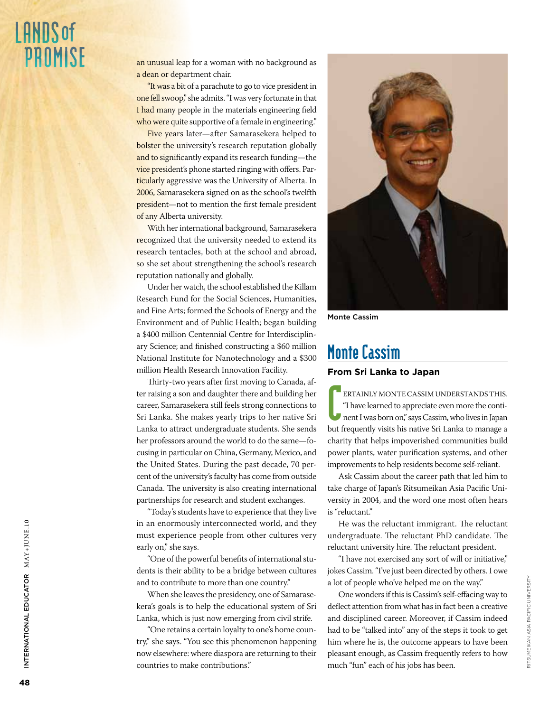an unusual leap for a woman with no background as a dean or department chair.

"It was a bit of a parachute to go to vice president in one fell swoop," she admits. "I was very fortunate in that I had many people in the materials engineering field who were quite supportive of a female in engineering."

Five years later—after Samarasekera helped to bolster the university's research reputation globally and to significantly expand its research funding—the <mark>vice preside</mark>nt's phone started ringing with offers. Particularly aggressive was the University of Alberta. In 2006, Samarasekera signed on as the school's twelfth president-not to mention the first female president of any Alberta university.

With her international background, Samarasekera recognized that the university needed to extend its research tentacles, both at the school and abroad, so she set about strengthening the school's research reputation nationally and globally.

Under her watch, the school established the Killam Research Fund for the Social Sciences, Humanities, and Fine Arts; formed the Schools of Energy and the Environment and of Public Health; began building a \$400 million Centennial Centre for Interdisciplin ary Science; and finished constructing a \$60 million National Institute for Nanotechnology and a \$300 million Health Research Innovation Facility.

Thirty-two years after first moving to Canada, after raising a son and daughter there and building her career, Samarasekera still feels strong connections to Sri Lanka. She makes yearly trips to her native Sri Lanka to attract undergraduate students. She sends her professors around the world to do the same—fo cusing in particular on China, Germany, Mexico, and the United States. During the past decade, 70 per cent of the university's faculty has come from outside Canada. The university is also creating international partnerships for research and student exchanges.

"Today's students have to experience that they live in an enormously interconnected world, and they must experience people from other cultures very early on," she says.

"One of the powerful benefits of international stu dents is their ability to be a bridge between cultures and to contribute to more than one country."

When she leaves the presidency, one of Samarase kera's goals is to help the educational system of Sri Lanka, which is just now emerging from civil strife.

"One retains a certain loyalty to one's home coun try," she says. "You see this phenomenon happening now elsewhere: where diaspora are returning to their countries to make contributions."



Monte Cassim

#### Monte Cassim

#### **From Sri Lanka to Japan**

**From Sri Lanka to Japan<br>ERTAINLY MONTE CASSIM UNDERSTANDS THIS.**<br>"I have learned to appreciate even more the conti-<br>nent I was born on," says Cassim, who lives in Japan<br>hut frequently vigits his native Sri Lanka to manage ERTAINLY MONTE CASSIM UNDERSTANDS THIS. "I have learned to appreciate even more the conti but frequently visits his native Sri Lanka to manage a charity that helps impoverished communities build power plants, water purification systems, and other improvements to help residents become self-reliant.

Ask Cassim about the career path that led him to take charge of Japan's Ritsumeikan Asia Pacific Uni versity in 2004, and the word one most often hears is "reluctant."

He was the reluctant immigrant. The reluctant undergraduate. The reluctant PhD candidate. The reluctant university hire. The reluctant president.

"I have not exercised any sort of will or initiative," jokes Cassim. "I've just been directed by others. I owe a lot of people who've helped me on the way."

One wonders if this is Cassim's self-effacing way to deflect attention from what has in fact been a creative and disciplined career. Moreover, if Cassim indeed had to be "talked into" any of the steps it took to get him where he is, the outcome appears to have been pleasant enough, as Cassim frequently refers to how much "fun" each of his jobs has been.

International Educator M Ay+june.10

INTERNATIONAL EDUCATOR MAY+JUNE.10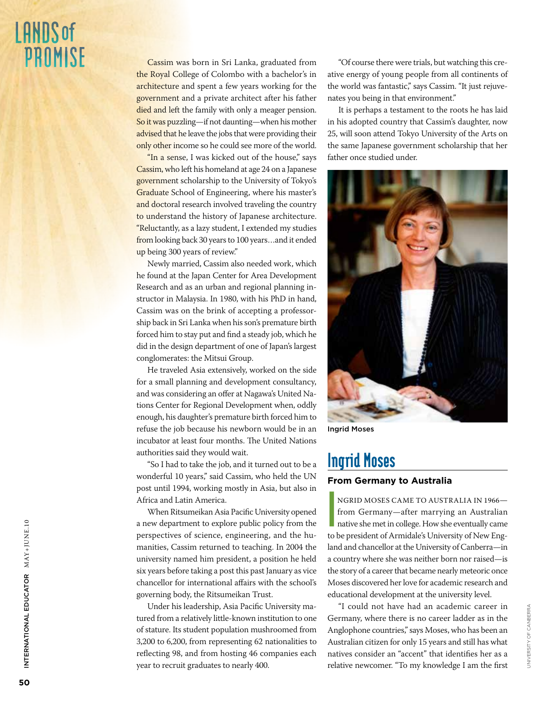Cassim was born in Sri Lanka, graduated from the Royal College of Colombo with a bachelor's in architecture and spent a few years working for the government and a private architect after his father died and left the family with only a meager pension. So it was puzzling—if not daunting—when his mother advised that he leave the jobs that were providing their only other income so he could see more of the world.

"In a sense, I was kicked out of the house," says Cassim, who left his homeland at age 24 on a Japanese government scholarship to the University of Tokyo's Graduate School of Engineering, where his master's and doctoral research involved traveling the country to understand the history of Japanese architecture. "Reluctantly, as a lazy student, I extended my studies from looking back 30 years to 100 years...and it ended up being 300 years of review."

Newly married, Cassim also needed work, which he found at the Japan Center for Area Development Research and as an urban and regional planning in structor in Malaysia. In 1980, with his PhD in hand, Cassim was on the brink of accepting a professor ship back in Sri Lanka when his son's premature birth forced him to stay put and find a steady job, which he did in the design department of one of Japan's largest conglomerates: the Mitsui Group.

He traveled Asia extensively, worked on the side for a small planning and development consultancy, and was considering an offer at Nagawa's United Na tions Center for Regional Development when, oddly enough, his daughter's premature birth forced him to refuse the job because his newborn would be in an incubator at least four months. The United Nations authorities said they would wait.

"So I had to take the job, and it turned out to be a wonderful 10 years," said Cassim, who held the UN post until 1994, working mostly in Asia, but also in Africa and Latin America.

When Ritsumeikan Asia Pacific University opened a new department to explore public policy from the perspectives of science, engineering, and the hu manities, Cassim returned to teaching. In 2004 the university named him president, a position he held six years before taking a post this past January as vice chancellor for international affairs with the school's governing body, the Ritsumeikan Trust.

Under his leadership, Asia Pacific University ma tured from a relatively little-known institution to one of stature. Its student population mushroomed from 3,200 to 6,200, from representing 62 nationalities to reflecting 98, and from hosting 46 companies each year to recruit graduates to nearly 400.

"Of course there were trials, but watching this cre ative energy of young people from all continents of the world was fantastic," says Cassim. "It just rejuve nates you being in that environment."

It is perhaps a testament to the roots he has laid in his adopted country that Cassim's daughter, now 25, will soon attend Tokyo University of the Arts on the same Japanese government scholarship that her father once studied under.



#### Ingrid Moses

**From Germany to Australia**<br>
NGRID MOSES CAME TO AUSTRALIA IN 1966—<br>
from Germany—after marrying an Australian<br>
native she met in college. How she eventually came<br>
to be president of Armidale's University of New Eng. ngri d Moses came t o Austral i a i n 1966 from Germany—after marrying an Australian to be president of Armidale's University of New Eng land and chancellor at the University of Canberra—in a country where she was neither born nor raised—is the story of a career that became nearly meteoric once Moses discovered her love for academic research and educational development at the university level. **ingrid Moses**<br> **From Germany to Australia**<br>
NGRID MOSES CAME TO AUSTRALIA IN 1966—<br>
from Germany—after marrying an Australian<br>
native she met in college. How she eventually came<br>
to be president of Armidale's University o

"I could not have had an academic career in Germany, where there is no career ladder as in the Anglophone countries," says Moses, who has been an Australian citizen for only 15 years and still has what natives consider an "accent" that identifies her as a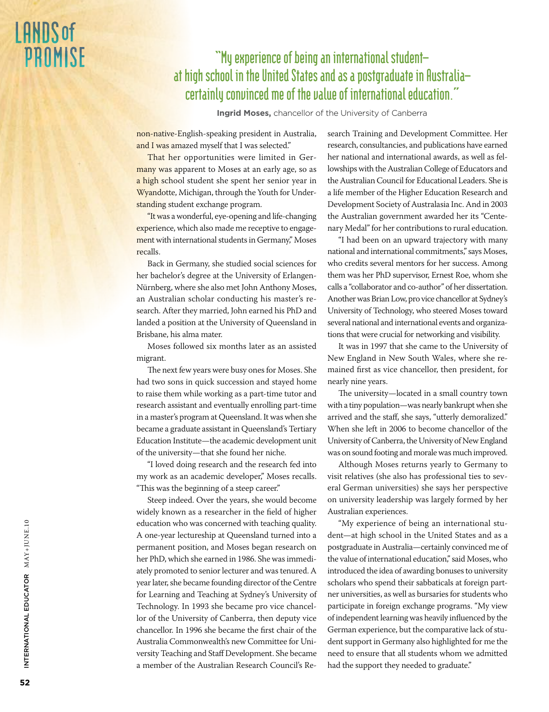#### **"My experience of being an international student at high school in the United States and as a postgraduate in Australia certainly convinced me of the value of international education."**

**Ingrid Moses,** chancellor of the University of Canberra

non-native-English-speaking president in Australia, and I was amazed myself that I was selected."

That her opportunities were limited in Germany was apparent to Moses at an early age, so as a high school student she spent her senior year in Wyandotte, Michigan, through the Youth for Understanding student exchange program.

"It was a wonderful, eye-opening and life-changing experience, which also made me receptive to engagement with international students in Germany," Moses recalls.

Back in Germany, she studied social sciences for her bachelor's degree at the University of Erlangen-Nürnberg, where she also met John Anthony Moses, an Australian scholar conducting his master's research. After they married, John earned his PhD and landed a position at the University of Queensland in Brisbane, his alma mater.

Moses followed six months later as an assisted migrant.

The next few years were busy ones for Moses. She had two sons in quick succession and stayed home to raise them while working as a part-time tutor and research assistant and eventually enrolling part-time in a master's program at Queensland. It was when she became a graduate assistant in Queensland's Tertiary Education Institute—the academic development unit of the university—that she found her niche.

"I loved doing research and the research fed into my work as an academic developer," Moses recalls. "This was the beginning of a steep career."

Steep indeed. Over the years, she would become widely known as a researcher in the field of higher education who was concerned with teaching quality. A one-year lectureship at Queensland turned into a permanent position, and Moses began research on her PhD, which she earned in 1986. She was immediately promoted to senior lecturer and was tenured. A year later, she became founding director of the Centre for Learning and Teaching at Sydney's University of Technology. In 1993 she became pro vice chancellor of the University of Canberra, then deputy vice chancellor. In 1996 she became the first chair of the Australia Commonwealth's new Committee for University Teaching and Staff Development. She became a member of the Australian Research Council's Research Training and Development Committee. Her research, consultancies, and publications have earned her national and international awards, as well as fellowships with the Australian College of Educators and the Australian Council for Educational Leaders. She is a life member of the Higher Education Research and Development Society of Australasia Inc. And in 2003 the Australian government awarded her its "Centenary Medal" for her contributions to rural education.

"I had been on an upward trajectory with many national and international commitments," says Moses, who credits several mentors for her success. Among them was her PhD supervisor, Ernest Roe, whom she calls a "collaborator and co-author" of her dissertation. Another was Brian Low, pro vice chancellor at Sydney's University of Technology, who steered Moses toward several national and international events and organizations that were crucial for networking and visibility.

It was in 1997 that she came to the University of New England in New South Wales, where she remained first as vice chancellor, then president, for nearly nine years.

The university—located in a small country town with a tiny population—was nearly bankrupt when she arrived and the staff, she says, "utterly demoralized." When she left in 2006 to become chancellor of the University of Canberra, the University of New England was on sound footing and morale was much improved.

Although Moses returns yearly to Germany to visit relatives (she also has professional ties to several German universities) she says her perspective on university leadership was largely formed by her Australian experiences.

"My experience of being an international student—at high school in the United States and as a postgraduate in Australia—certainly convinced me of the value of international education," said Moses, who introduced the idea of awarding bonuses to university scholars who spend their sabbaticals at foreign partner universities, as well as bursaries for students who participate in foreign exchange programs. "My view of independent learning was heavily influenced by the German experience, but the comparative lack of student support in Germany also highlighted for me the need to ensure that all students whom we admitted had the support they needed to graduate."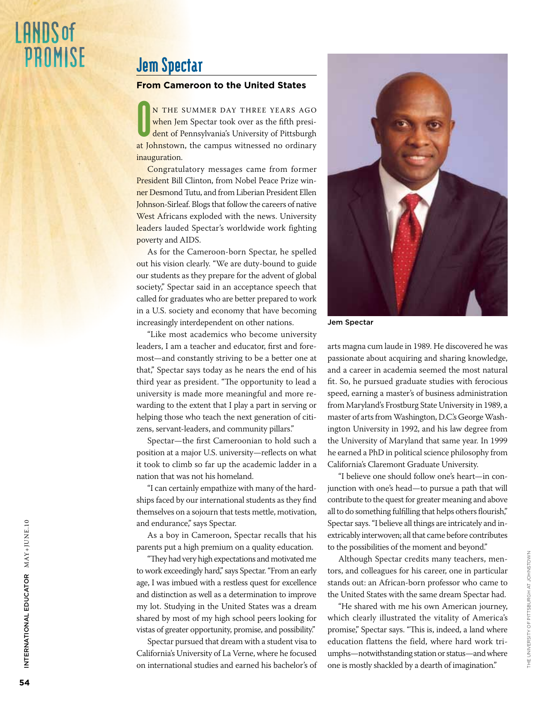#### Jem Spectar

#### **From Cameroon to the United States**

 $\overline{\mathbf{0}}$ <mark>N THE S</mark>UMMER DAY THREE YEARS A <mark>when Jem</mark> Spectar took over as the fifth president of Pennsylvania's University of Pittsburgh at Johnstown, the campus witnessed no ordinary inauguration.

Congratulatory messages came from former <mark>President B</mark>ill Clinton, from Nobel Peace Prize winner Desmond Tutu, and from Liberian President Ellen Johnson-Sirleaf. Blogs that follow the careers of native West Africans exploded with the news. University leaders lauded Spectar's worldwide work fighting poverty and AIDS.

As for the Cameroon-born Spectar, he spelled out his vision clearly. "We are duty-bound to guide our students as they prepare for the advent of global society," Spectar said in an acceptance speech that called for graduates who are better prepared to work in a U.S. society and economy that have becoming increasingly interdependent on other nations.

"Like most academics who become university leaders, I am a teacher and educator, first and fore most—and constantly striving to be a better one at that," Spectar says today as he nears the end of his third year as president. "The opportunity to lead a university is made more meaningful and more re warding to the extent that I play a part in serving or helping those who teach the next generation of citi zens, servant-leaders, and community pillars."

Spectar—the first Cameroonian to hold such a position at a major U.S. university—reflects on what it took to climb so far up the academic ladder in a nation that was not his homeland.

"I can certainly empathize with many of the hard ships faced by our international students as they find themselves on a sojourn that tests mettle, motivation, and endurance," says Spectar.

As a boy in Cameroon, Spectar recalls that his parents put a high premium on a quality education.

"They had very high expectations and motivated me to work exceedingly hard," says Spectar. "From an early age, I was imbued with a restless quest for excellence and distinction as well as a determination to improve my lot. Studying in the United States was a dream shared by most of my high school peers looking for vistas of greater opportunity, promise, and possibility."

Spectar pursued that dream with a student visa to California's University of La Verne, where he focused on international studies and earned his bachelor's of



Jem Spectar

arts magna cum laude in 1989. He discovered he was passionate about acquiring and sharing knowledge, and a career in academia seemed the most natural fit. So, he pursued graduate studies with ferocious speed, earning a master's of business administration from Maryland's Frostburg State University in 1989, a master of arts from Washington, D.C.'s George Wash ington University in 1992, and his law degree from the University of Maryland that same year. In 1999 he earned a PhD in political science philosophy from California's Claremont Graduate University.

"I believe one should follow one's heart—in con junction with one's head—to pursue a path that will contribute to the quest for greater meaning and above all to do something fulfilling that helps others flourish," Spectar says. "I believe all things are intricately and in extricably interwoven; all that came before contributes to the possibilities of the moment and beyond."

Although Spectar credits many teachers, men tors, and colleagues for his career, one in particular stands out: an African-born professor who came to the United States with the same dream Spectar had.

"He shared with me his own American journey, which clearly illustrated the vitality of America's promise," Spectar says. "This is, indeed, a land where education flattens the field, where hard work tri umphs—notwithstanding station or status—and where one is mostly shackled by a dearth of imagination."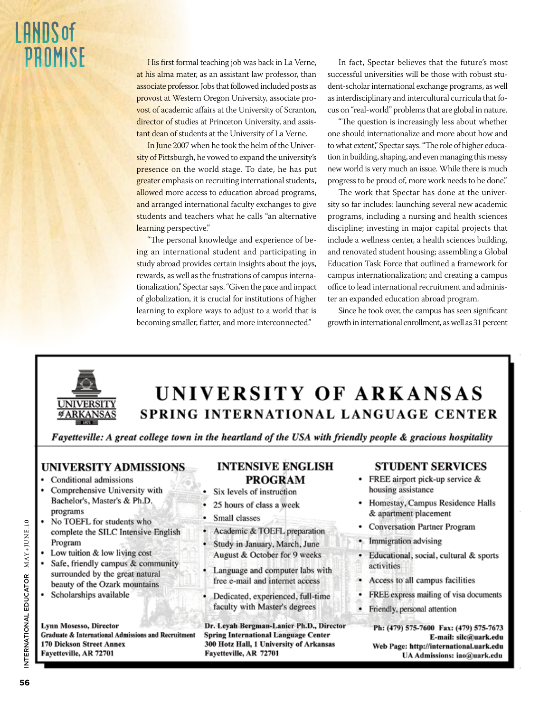His first formal teaching job was back in La Verne, at his alma mater, as an assistant law professor, than associate professor. Jobs that followed included posts as provost at Western Oregon University, associate provost of academic affairs at the University of Scranton, director of studies at Princeton University, and assistant dean of students at the University of La Verne.

In June 2007 when he took the helm of the University of Pittsburgh, he vowed to expand the university's presence on the world stage. To date, he has put greater emphasis on recruiting international students, allowed more access to education abroad programs, and arranged international faculty exchanges to give students and teachers what he calls "an alternative learning perspective."

"The personal knowledge and experience of being an international student and participating in study abroad provides certain insights about the joys, rewards, as well as the frustrations of campus internationalization," Spectar says. "Given the pace and impact of globalization, it is crucial for institutions of higher learning to explore ways to adjust to a world that is becoming smaller, flatter, and more interconnected."

In fact, Spectar believes that the future's most successful universities will be those with robust student-scholar international exchange programs, as well as interdisciplinary and intercultural curricula that focus on "real-world" problems that are global in nature.

"The question is increasingly less about whether one should internationalize and more about how and to what extent," Spectar says. "The role of higher education in building, shaping, and even managing this messy new world is very much an issue. While there is much progress to be proud of, more work needs to be done."

The work that Spectar has done at the university so far includes: launching several new academic programs, including a nursing and health sciences discipline; investing in major capital projects that include a wellness center, a health sciences building, and renovated student housing; assembling a Global Education Task Force that outlined a framework for campus internationalization; and creating a campus office to lead international recruitment and administer an expanded education abroad program.

Since he took over, the campus has seen significant growth in international enrollment, as well as 31 percent



### UNIVERSITY OF ARKANSAS SPRING INTERNATIONAL LANGUAGE CENTER

Fayetteville: A great college town in the heartland of the USA with friendly people & gracious hospitality

#### UNIVERSITY ADMISSIONS

- Conditional admissions
- $\bullet$ Comprehensive University with Bachelor's, Master's & Ph.D. programs
- No TOEFL for students who complete the SILC Intensive English Program
- Low tuition & low living cost
- Safe, friendly campus & community surrounded by the great natural beauty of the Ozark mountains
- Scholarships available

Lynn Mosesso, Director Graduate & International Admissions and Recruitment 170 Dickson Street Annex Fayetteville, AR 72701

#### **INTENSIVE ENGLISH PROGRAM**

- Six levels of instruction
- 25 hours of class a week
- Small classes
- Academic & TOEFL preparation
- Study in January, March, June August & October for 9 weeks
- Language and computer labs with free e-mail and internet access
- Dedicated, experienced, full-time faculty with Master's degrees

Dr. Leyah Bergman-Lanier Ph.D., Director **Spring International Language Center** 300 Hotz Hall, 1 University of Arkansas Fayetteville, AR 72701

#### **STUDENT SERVICES**

- FREE airport pick-up service & housing assistance
- Homestay, Campus Residence Halls & apartment placement
- Conversation Partner Program
- Immigration advising
- Educational, social, cultural & sports activities
- Access to all campus facilities
- FREE express mailing of visa documents
- Friendly, personal attention

Ph: (479) 575-7600 Fax: (479) 575-7673 E-mail: silc@uark.edu Web Page: http://international.uark.edu UA Admissions: iao@uark.edu